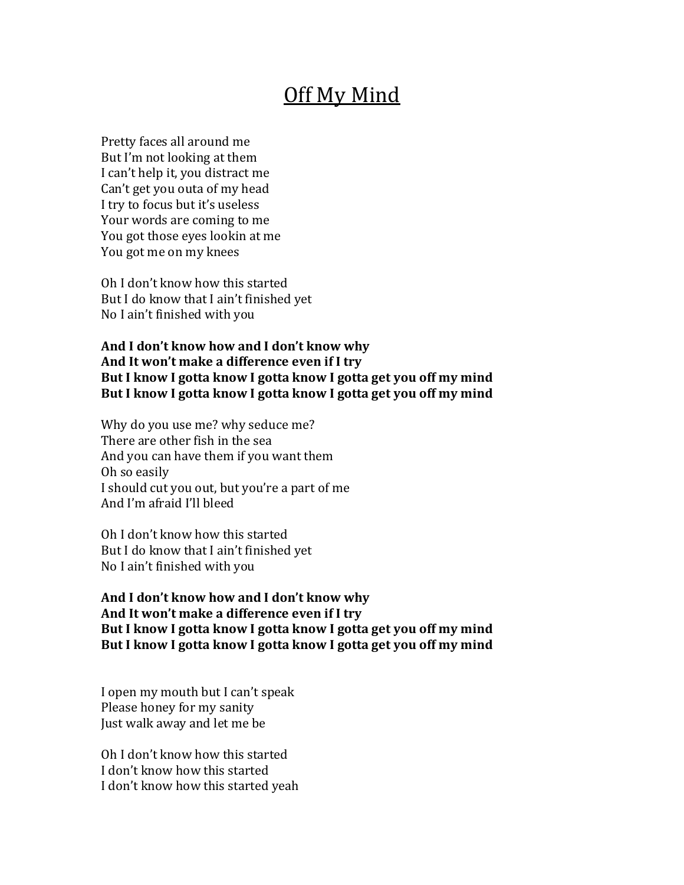## Off My Mind

Pretty faces all around me But I'm not looking at them I can't help it, you distract me Can't get you outa of my head I try to focus but it's useless Your words are coming to me You got those eyes lookin at me You got me on my knees

Oh I don't know how this started But I do know that I ain't finished yet No I ain't finished with you

And I don't know how and I don't know why And It won't make a difference even if I try But I know I gotta know I gotta know I gotta get you off my mind But I know I gotta know I gotta know I gotta get you off my mind

Why do you use me? why seduce me? There are other fish in the sea And you can have them if you want them Oh so easily I should cut you out, but you're a part of me And I'm afraid I'll bleed

Oh I don't know how this started But I do know that I ain't finished yet No I ain't finished with you

And I don't know how and I don't know why And It won't make a difference even if I try But I know I gotta know I gotta know I gotta get you off my mind But I know I gotta know I gotta know I gotta get you off my mind

I open my mouth but I can't speak Please honey for my sanity Just walk away and let me be

Oh I don't know how this started I don't know how this started I don't know how this started yeah